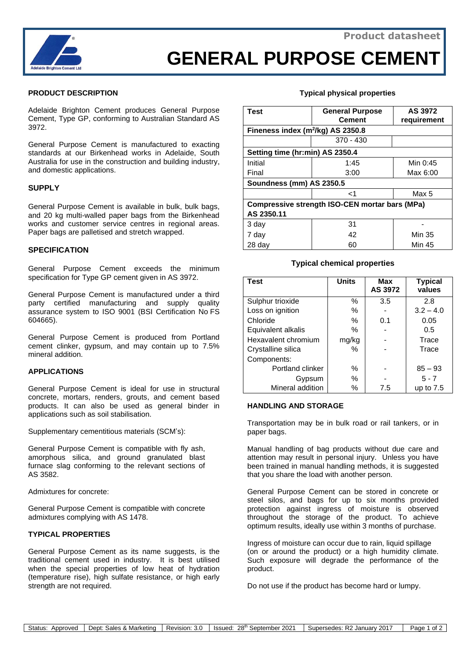

# **GENERAL PURPOSE CEMENT**

### **PRODUCT DESCRIPTION**

Adelaide Brighton Cement produces General Purpose Cement, Type GP, conforming to Australian Standard AS 3972.

General Purpose Cement is manufactured to exacting standards at our Birkenhead works in Adelaide, South Australia for use in the construction and building industry, and domestic applications.

#### **SUPPLY**

General Purpose Cement is available in bulk, bulk bags, and 20 kg multi-walled paper bags from the Birkenhead works and customer service centres in regional areas. Paper bags are palletised and stretch wrapped.

#### **SPECIFICATION**

General Purpose Cement exceeds the minimum specification for Type GP cement given in AS 3972.

General Purpose Cement is manufactured under a third party certified manufacturing and supply quality assurance system to ISO 9001 (BSI Certification No FS 604665).

General Purpose Cement is produced from Portland cement clinker, gypsum, and may contain up to 7.5% mineral addition.

#### **APPLICATIONS**

General Purpose Cement is ideal for use in structural concrete, mortars, renders, grouts, and cement based products. It can also be used as general binder in applications such as soil stabilisation.

Supplementary cementitious materials (SCM's):

General Purpose Cement is compatible with fly ash, amorphous silica, and ground granulated blast furnace slag conforming to the relevant sections of AS 3582.

Admixtures for concrete:

General Purpose Cement is compatible with concrete admixtures complying with AS 1478.

#### **TYPICAL PROPERTIES**

General Purpose Cement as its name suggests, is the traditional cement used in industry. It is best utilised when the special properties of low heat of hydration (temperature rise), high sulfate resistance, or high early strength are not required.

#### **Typical physical properties**

| <b>Test</b>                                           | <b>General Purpose</b><br><b>Cement</b> | AS 3972<br>requirement |  |  |  |
|-------------------------------------------------------|-----------------------------------------|------------------------|--|--|--|
| Fineness index $(m^2/kg)$ AS 2350.8                   |                                         |                        |  |  |  |
|                                                       | $370 - 430$                             |                        |  |  |  |
| Setting time (hr:min) AS 2350.4                       |                                         |                        |  |  |  |
| Initial                                               | 1:45                                    | Min 0:45               |  |  |  |
| Final                                                 | 3:00                                    | Max 6:00               |  |  |  |
| Soundness (mm) AS 2350.5                              |                                         |                        |  |  |  |
|                                                       | ا>                                      | Max 5                  |  |  |  |
| <b>Compressive strength ISO-CEN mortar bars (MPa)</b> |                                         |                        |  |  |  |
| AS 2350.11                                            |                                         |                        |  |  |  |
| 3 day                                                 | 31                                      |                        |  |  |  |
| 7 day                                                 | 42                                      | Min 35                 |  |  |  |
| 28 day                                                | 60                                      | Min 45                 |  |  |  |

#### **Typical chemical properties**

| <b>Test</b>         | <b>Units</b> | <b>Max</b><br>AS 3972 | <b>Typical</b><br>values |
|---------------------|--------------|-----------------------|--------------------------|
| Sulphur trioxide    | $\%$         | 3.5                   | 2.8                      |
| Loss on ignition    | %            |                       | $3.2 - 4.0$              |
| Chloride            | $\%$         | 0.1                   | 0.05                     |
| Equivalent alkalis  | ℅            |                       | 0.5                      |
| Hexavalent chromium | mg/kg        |                       | Trace                    |
| Crystalline silica  | ℅            |                       | Trace                    |
| Components:         |              |                       |                          |
| Portland clinker    | %            |                       | $85 - 93$                |
| Gypsum              | %            |                       | $5 - 7$                  |
| Mineral addition    | %            | 7.5                   | up to $7.5$              |

#### **HANDLING AND STORAGE**

Transportation may be in bulk road or rail tankers, or in paper bags.

Manual handling of bag products without due care and attention may result in personal injury. Unless you have been trained in manual handling methods, it is suggested that you share the load with another person.

General Purpose Cement can be stored in concrete or steel silos, and bags for up to six months provided protection against ingress of moisture is observed throughout the storage of the product. To achieve optimum results, ideally use within 3 months of purchase.

Ingress of moisture can occur due to rain, liquid spillage (on or around the product) or a high humidity climate. Such exposure will degrade the performance of the product.

Do not use if the product has become hard or lumpy.